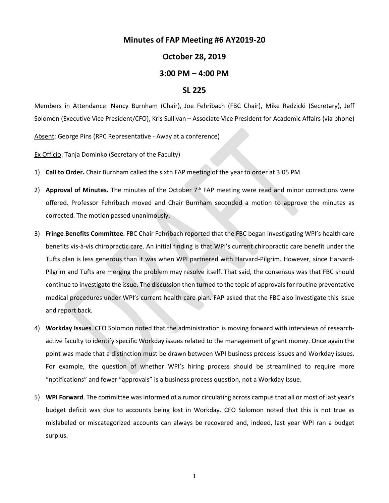## **Minutes of FAP Meeting #6 AY2019-20**

## **October 28, 2019**

## **3:00 PM – 4:00 PM**

## **SL 225**

Members in Attendance: Nancy Burnham (Chair), Joe Fehribach (FBC Chair), Mike Radzicki (Secretary), Jeff Solomon (Executive Vice President/CFO), Kris Sullivan – Associate Vice President for Academic Affairs (via phone)

Absent: George Pins (RPC Representative - Away at a conference)

Ex Officio: Tanja Dominko (Secretary of the Faculty)

- 1) **Call to Order.** Chair Burnham called the sixth FAP meeting of the year to order at 3:05 PM.
- 2) **Approval of Minutes.** The minutes of the October 7<sup>th</sup> FAP meeting were read and minor corrections were offered. Professor Fehribach moved and Chair Burnham seconded a motion to approve the minutes as corrected. The motion passed unanimously.
- 3) **Fringe Benefits Committee**. FBC Chair Fehribach reported that the FBC began investigating WPI's health care benefits vis-à-vis chiropractic care. An initial finding is that WPI's current chiropractic care benefit under the Tufts plan is less generous than it was when WPI partnered with Harvard-Pilgrim. However, since Harvard-Pilgrim and Tufts are merging the problem may resolve itself. That said, the consensus was that FBC should continue to investigate the issue. The discussion then turned to the topic of approvals for routine preventative medical procedures under WPI's current health care plan. FAP asked that the FBC also investigate this issue and report back.
- 4) **Workday Issues**. CFO Solomon noted that the administration is moving forward with interviews of researchactive faculty to identify specific Workday issues related to the management of grant money. Once again the point was made that a distinction must be drawn between WPI business process issues and Workday issues. For example, the question of whether WPI's hiring process should be streamlined to require more "notifications" and fewer "approvals" is a business process question, not a Workday issue.
- 5) **WPI Forward**. The committee was informed of a rumor circulating across campus that all or most of last year's budget deficit was due to accounts being lost in Workday. CFO Solomon noted that this is not true as mislabeled or miscategorized accounts can always be recovered and, indeed, last year WPI ran a budget surplus.

1